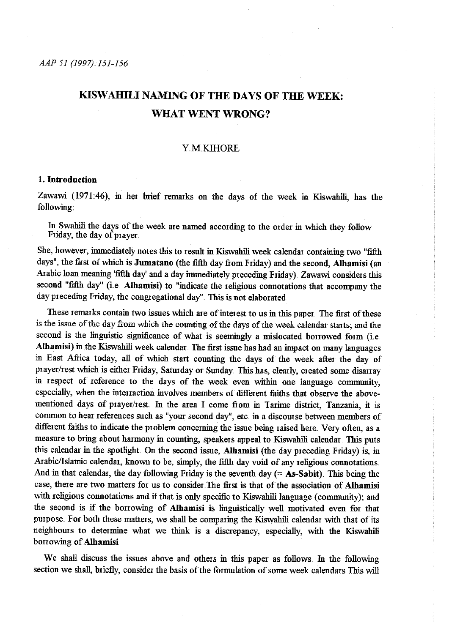# KISW AHILI NAMING OF THE DAYS OF THE WEEK: WHAT WENT WRONG?

# **YMKIHORE**

## 1. Introduction

Zawawi (1971:46), in her brief remarks on the days of the week in Kiswahili, has the following:

In Swahili the days of the week are named according to the order in which they follow Friday, the day of prayer.

She, however, immediately notes this to result in Kiswahili week calendar containing two "fifth days", the first of which is Jumatano (the fifth day from Friday) and the second, Alhamisi (an Arabic loan meaning 'fifth day' and a day immediately preceding Friday). Zawawi considers this second "fifth day" (i.e. Alhamisi) to "indicate the religious connotations that accompany the day preceding Friday, the congregational day". This is not elaborated

These remarks contain two issues which are of interest to us in this paper. The first of these is the issue of the day fiom which the counting of the days of the week calendar starts; and the second is the linguistic significance of what is seemingly a mislocated borrowed form (i.e. Alhamisi) in the Kiswahili week calendar. The first issue has had an impact on many languages in East Afiica today, all of which start counting the days of the week after the day of prayer/rest which is either Friday, Saturday or Sunday. This has, clearly, created some disarray in respect of reference to the days of the week even within one language community, especially, when the interraction involves members of different faiths that observe the abovementioned days of prayer/rest. In the area I come from in Tarime district, Tanzania, it is common to hear references such as "your second day", etc. in a discourse between members of different faiths to indicate the problem concerning the issue being raised here. Very often, as a measure to bring about harmony in counting, speakers appeal to Kiswahili calendar. This puts this calendar in the spotlight. On the second issue, Alhamisi (the day preceding Friday) is, in Arabic/Islamic calendar, known to be, simply, the fifth day void of any religious connotations. And in that calendar, the day following Friday is the seventh day  $(= As-Sabit)$ . This being the case, there are two matters for us to consider. The first is that of the association of Alhamisi with religious connotations and if that is only specific to Kiswahili language (community); and the second is if the borrowing of Alhamisi is linguistically well motivated even for that purpose. For both these matters, we shall be comparing the Kiswahili calendar with that of its neighbours to determine what we think is a discrepancy, especially, with the Kiswahili borrowing of Alhamisi

We shall discuss the issues above and others in this paper as follows. In the following section we shall, briefly, consider the basis of the formulation of some week calendars.This will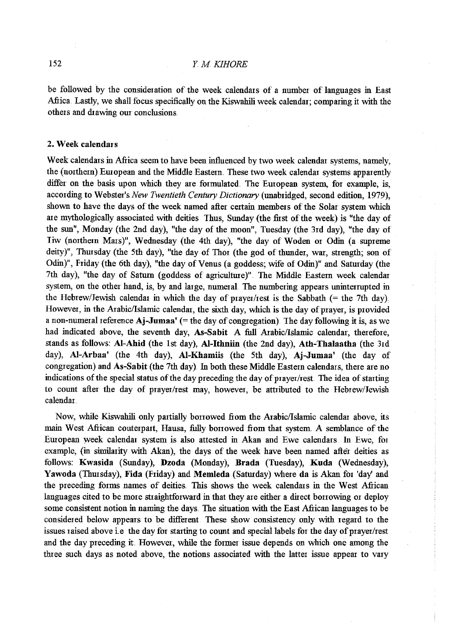be followed by the consideration of the week calendars of a number of languages in East Afiica. Lastly, we shall focus specifically on the Kiswahili week calendar; comparing it with the others and drawing our conclusions.

#### 2. Week calendars

Week calendars in Afiica seem to have been influenced by two week calendar systems, namely, the (northem) European and the Middle Eastem. These two week calendar systems apparently differ on the basis upon which they are formulated. The European system, for example, is, according to Webster's *New Twentieth Century Dictionary* (unabridged, second edition, 1979), shown to have the days of the week named after certain members of the Solar system which are mythologically associated with deities Thus, Sunday (the first of the week) is "the day of the sun", Monday (the 2nd day), "the day of the moon", Tuesday (the 3rd day), "the day of Iiw (northem Mars)", Wednesday (the 4th day), "the day of Woden or Odin (a supreme deity)", Thursday (the 5th day), "the day of Thor (the god of thunder, war, strength; son of Odin)", Friday (the 6th day), "the day of Venus (a goddess; wife of Odin)" and Saturday (the 7th day), "the day of Saturn (goddess of agriculture)" The Middle Eastern week calendar system, on the other hand, is, by and large, numeral. The numbering appears uninterrupted in the Hebrew/Jewish calendar in which the day of prayer/rest is the Sabbath  $(=$  the 7th day) However, in the Arabic/Islamic calendar, the sixth day, which is the day of prayer, is provided a non-numeral reference  $\text{Aj-Jumaa'}$  (= the day of congregation). The day following it is, as we had indicated above, the seventh day, As-Sabit A full Arabic/Islamic calendar, therefore, stands as follows: AI-Ahid (the 1st day), AI-Ithniin (the 2nd day), Ath-Thalaatha (the 3rd day), Al-Arbaa' (the 4th day), Al-Khamiis (the 5th day), Aj-Jumaa' (the day of congregation) and As-Sabit (the 7th day). In both these Middle Eastern calendars, there are no indications of the special status of the day preceding the day of prayer/rest. The idea of starting to count after the day of prayer/rest may, however, be attributed to the Hebrew/Jewish calendar

Now, while Kiswahili only partially bonowed from the Arabic/lslamic calendar above, its main West Afiican couterpart, Hausa, fully bonowed fiom that system. A semblance of the European week calendar system is also attested in Akan and Ewe calendars In Ewe, for example, (in similarity with Akan), the days of the week have been named after deities as follows: Kwasida (Sunday), Dzoda (Monday), Brada (Tuesday), Kuda (Wednesday), Yawoda (Thursday), Fida (Friday) and Memleda (Saturday) where da is Akan for 'day' and the preceding forms names of deities. This shows the week calendars in the West African languages cited to be more straightforward in that they are either a direct borrowing or deploy some consistent notion in naming the days. The situation with the East African languages to be considered below appears to be different. These show consistency only with regard to the issues raised above i.e. the day for starting to count and special labels for the day of prayer/rest and the day preceding it. However, while the former issue depends on which one among the three such days as noted above, the notions associated with the latter issue appear to vary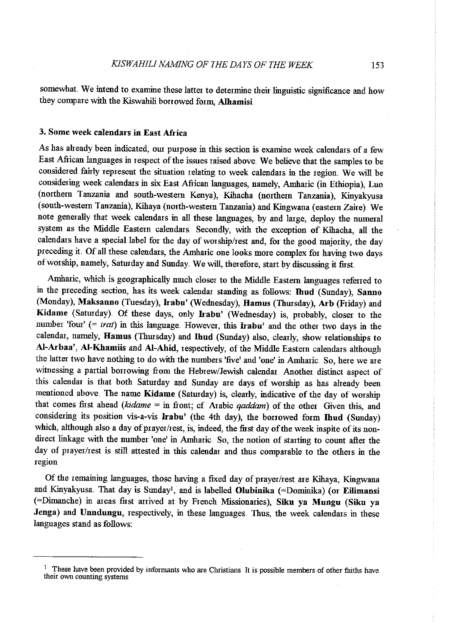somewhat. We intend to examine these latter to determine their linguistic significance and how they compare with the Kiswahili borrowed form, Alhamisi

## 3. Some week calendars in East Africa

As has already been indicated, our purpose in this section is examine week calendars of a few East African languages in respect of the issues raised above. We believe that the samples to be considered fairly represent the situation relating to week calendars in the region. We will be considering week calendars in six East Afiican languages, namely, Amharic (in Ethiopia), Luo (northern Tanzania and south-western Kenya), Kihacha (northern Tanzania), Kinyakyusa (south-western Tanzania), Kihaya (north-western Tanzania) and Kingwana (eastern Zaire). We note generally that week calendars in all these languages, by and large, deploy the numeral system as the Middle Eastern calendars. Secondly, with the exception of Kihacha, all the calendars have a special label for the day of worship/rest and, for the good majority, the day preceding it. Of all these calendars, the Amharic one looks more complex for having two days of worship, namely, Saturday and Sunday. We will, therefore, start by discussing it first.

Amharic, which is geographically much closer to the Middle Eastern languages referred to in the preceding section, has its week calendar standing as follows: Ihud (Sunday), Sanno (Monday), Maksanno (Tuesday), Irabu' (Wednesday), Hamus (Thursday), Arb (Friday) and Kidame (Saturday). Of these days, only Irabu' (Wednesday) is, probably, closer to the number 'four' (= *irat*) in this language. However, this **Irabu'** and the other two days in the calendar, namely, Hamus (Thursday) and Ihud (Sunday) also, clearly, show relationships to Al-Arbaa', AI-Khamiis and AI-Ahid, respectively, of the Middle Eastem calendars although the latter two have nothing to do with the numbers 'five' and 'one' in Amharic. So, here we are witnessing a partial borrowing from the Hebrew/Jewish calendar. Another distinct aspect of this calendar is that both Saturday and Sunday are days of worship as has already been mentioned above. The name Kidame (Saturday) is, clearly, indicative of the day of worship that comes first ahead *(kidame = in front; cf. Arabic qaddam)* of the other Given this, and considering its position vis-a-vis Irabu' (the 4th day), the borrowed form Ihud (Sunday) which, although also a day of prayer/rest, is, indeed, the first day of the week inspite of its nondirect linkage with the number 'one' in Amharic So, the notion of starting to count after the day of prayer/rest is still attested in this calendar and thus comparable to the others in the region

Of the remaining languages, those having a fixed day of prayer/rest are Kihaya, Kingwana and Kinyakyusa. That day is Sunday<sup>1</sup>, and is labelled Olubinika (=Dominika) (or Eilimansi (=Dimanche) in areas first arrived at by French Missionaries), Siku ya Mungu (Siku ya Jenga) and Unndungu, respectively, in these languages. Thus, the week calendars in these languages stand as follows:

 $1$  These have been provided by informants who are Christians It is possible members of other faiths have their own counting systems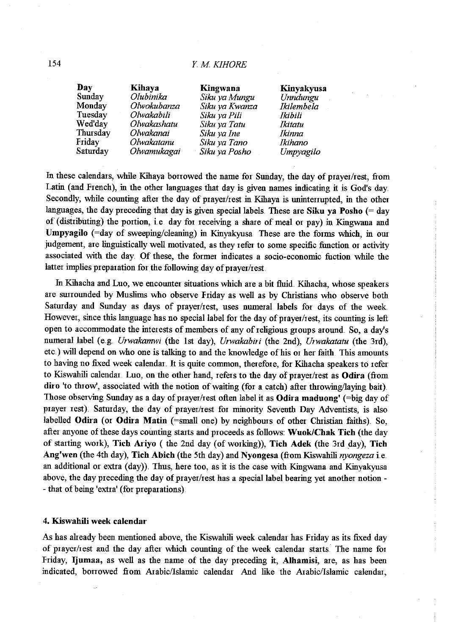| Day      | Kihaya      | Kingwana       | Kinyakyusa        |
|----------|-------------|----------------|-------------------|
| Sunday   | Olubinika   | Siku ya Mungu  | Unndungu          |
| Monday   | Olwokubanza | Siku ya Kwanza | <b>Ikilembela</b> |
| Tuesday  | Olwakabili  | Siku ya Pili   | Ikibili           |
| Wed'day  | Olwakashatu | Siku ya Tatu   | Ikitatu           |
| Thursday | Olwakanai   | Siku ya Ine    | Ikinna            |
| Friday   | Olwakatanu  | Siku ya Tano   | Ikihano           |
| Saturday | Olwamukagai | Siku ya Posho  | Umpyagilo         |

In these calendars, while Kihaya borrowed the name for Sunday, the day of prayer/rest, from Latin (and French), in the other languages that day is given names indicating it is God's day Secondly, while counting after the day of prayer/rest in Kihaya is unintenupted, in the other languages, the day preceding that day is given special labels. These are Siku ya Posho  $($  = day of (distributing) the portion, i.e. day for receiving a share of meal or pay) in Kingwana and Umpyagilo (=day of sweeping/cleaning) in Kinyakyusa These are the forms which, in our judgement, are linguistically well motivated, as they refer to some specific function or activity associated with the day. Of these, the former indicates a socio-economic fuction while the latter implies preparation for the following day of prayer/rest.

In Kihacha and Luo, we encounter situations which are a bit fluid. Kihacha, whose speakers are smrounded by Muslims who observe Friday as well as by Christians who observe both Saturday and Sunday as days of prayer/rest, uses numeral labels for days of the week. However, since this language has no special label for the day of prayer/rest, its counting is left open to accommodate the interests of members of any of religious groups around. So, a day's numeral label (e.g. *Urwakamwi* (the 1st day), *Urwakabiri* (the 2nd), *Urwakatatu* (the 3rd), etc.) will depend on who one is talking to and the knowledge of his or her faith. This amounts to having no fixed week calendar. It is quite common, therefore, for Kihacha speakers to refer to Kiswahili calendar. Luo, on the other hand, refers to the day of prayer/rest as Odira (from diro 'to throw', associated with the notion of waiting (for a catch) after throwing/laying bait) Those observing Sunday as a day of prayer/rest often label it as Odira maduong' (=big day of prayer rest). Saturday, the day of prayer/rest for minority Seventh Day Adventists, is also labelled Odira (or Odira Matin (=small one) by neighbours of other Christian faiths). So, after anyone of these days counting starts and proceeds as follows: Wuok/Chak Tich (the day of starting work), Tich Ariyo (the 2nd day (of working)), Tich Adek (the 3rd day), Tich Ang'wen (the 4th day), Tich Abich (the 5th day) and Nyongesa (fiom Kiswahili *nyongeza* i.e .. an additional or extra (day)). Thus, here too, as it is the case with Kingwana and Kinyakyusa above, the day preceding the day of prayer/rest has a special label bearing yet another notion - - that of being 'extra' (for preparations)

### 4. Kiswahili week calendar

As has aheady been mentioned above, the Kiswahili week calendar has Friday as its fixed day of prayer/rest and the day after which counting of the week calendar starts. The name for Friday, Ijumaa, as well as the name of the day preceding it, Alhamisi, are, as has been indicated, borrowed from Arabic/Islamic calendar And like the Arabic/Islamic calendar,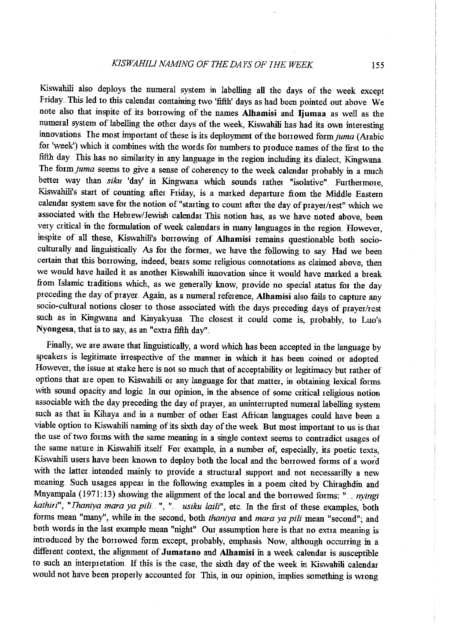Kiswahili also deploys the numeral system in labelling all the days of the week except Friday. This led to this calendar containing two 'fifth' days as had been pointed out above. We note also that inspite of its borrowing of the names Alhamisi and Ijumaa as well as the numeral system of labelling the other days of the week, Kiswahili has had its own interesting innovations. The most important of these is its deployment of the borrowed form juma (Arabic for 'week') which it combines with the words for numbers to produce names of the fust to the fifth day. This has no similarity in any language in the region including its dialect, Kingwana. The *formjuma* seems to give a sense of coherency to the week calendar probably in a much better way than *siku* 'day' in Kingwana which sounds rather "isolative" Furthermore, Kiswahili's start of counting after Friday, is a marked departure from the Middle Eastern calendar system save for the notion of"starting to count after the day of prayer/rest" which we associated with the Hebrew/Jewish calendar.This notion has, as we have noted above, been very critical in the formulation of week calendars in many languages in the region However, inspite of all these, Kiswahili's borrowing of Alhamisi remains questionable both sociocultmally and linguistically. As for the former, we have the following to say. Had we been certain that this bonowing, indeed, bears some religious connotations as claimed above, then we would have hailed it as another Kiswahili innovation since it would have marked a break from Islamic traditions which, as we generally know, provide no special status for the day preceding the day of prayer. Again, as a numeral reference, Alhamisi also fails to capture any socio-cultural notions closer to those associated with the days preceding days of prayer/rest such as in Kingwana and Kinyakyusa. The closest it could come is, probably, to Luo's Nyongesa, that is to say, as an "extra fifth day".

Finally, we are aware that linguistically, a word which has been accepted in the language by speakers is legitimate inespective of the manner in which it has been coined or adopted However, the issue at stake here is not so much that of acceptability or legitimacy but rather of options that are open to Kiswahili or any language for that matter, in obtaining lexical forms with sound opacity and logic. In our opinion, in the absence of some critical religious notion associable with the day preceding the day of prayer, an uninterrupted numeral labelling system such as that in Kihaya and in a number of other East African languages could have been a viable option to Kiswahili nanring of its sixth day of the week But most important to us is that the use of two forms with the same meaning in a single context seems to contradict usages of the same nature in Kiswahili itself For example, in a number of, especially, its poetic texts, Kiswahili users have been known to deploy both the local and the bonowed forms of a word with the latter intended mainly to provide a structural support and not necessarilly a new meaning. Such usages appear in the following examples in a poem cited by Chiraghdin and Mnyampala (1971:13) showing the alignment of the local and the borrowed forms: "... *nyingi* kathiri", "Ihaniya mara ya pili...", "... usiku laili", etc. In the first of these examples, both forms mean "many", while in the second, both *thaniya* and *mara ya pili* mean "second"; and both words in the last example mean "night". Our assumption here is that no extra meaning is introduced by the borrowed form except, probably, emphasis Now, although occurring in a different context, the alignment of Jumatano and Alhamisi in a week calendar is susceptible to such an interpretation. If this is the case, the sixth day of the week in Kiswahili calendar would not have been properly accounted for This, in our opinion, implies something is wrong